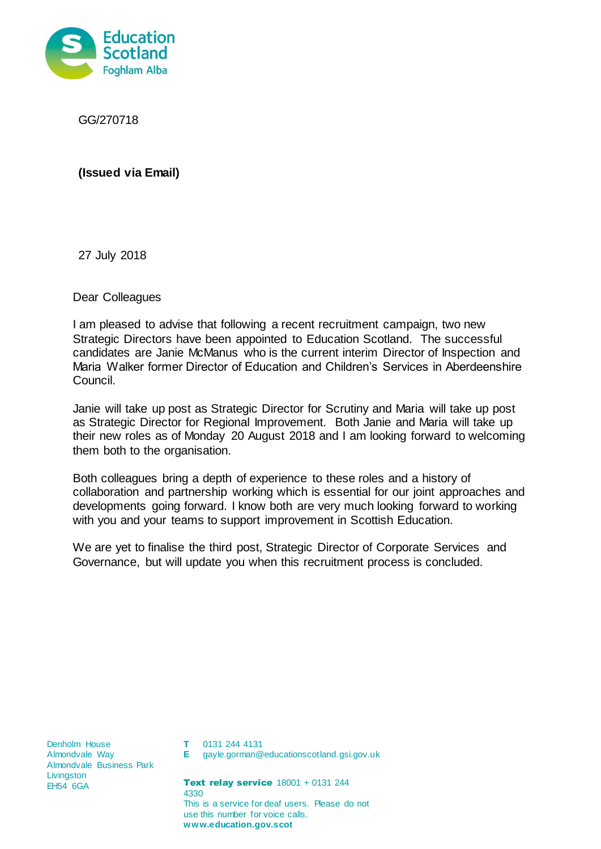

GG/270718

**(Issued via Email)**

27 July 2018

Dear Colleagues

I am pleased to advise that following a recent recruitment campaign, two new Strategic Directors have been appointed to Education Scotland. The successful candidates are Janie McManus who is the current interim Director of Inspection and Maria Walker former Director of Education and Children's Services in Aberdeenshire Council.

Janie will take up post as Strategic Director for Scrutiny and Maria will take up post as Strategic Director for Regional Improvement. Both Janie and Maria will take up their new roles as of Monday 20 August 2018 and I am looking forward to welcoming them both to the organisation.

Both colleagues bring a depth of experience to these roles and a history of collaboration and partnership working which is essential for our joint approaches and developments going forward. I know both are very much looking forward to working with you and your teams to support improvement in Scottish Education.

We are yet to finalise the third post, Strategic Director of Corporate Services and Governance, but will update you when this recruitment process is concluded.

Denholm House Almondvale Way Almondvale Business Park **Livingston** EH54 6GA

- **T** 0131 244 4131
- **E** gayle.gorman@educationscotland.gsi.gov.uk

**Text relay service**  $18001 + 0131244$ 4330 This is a service for deaf users. Please do not use this number for voice calls. **www.education.gov.scot**